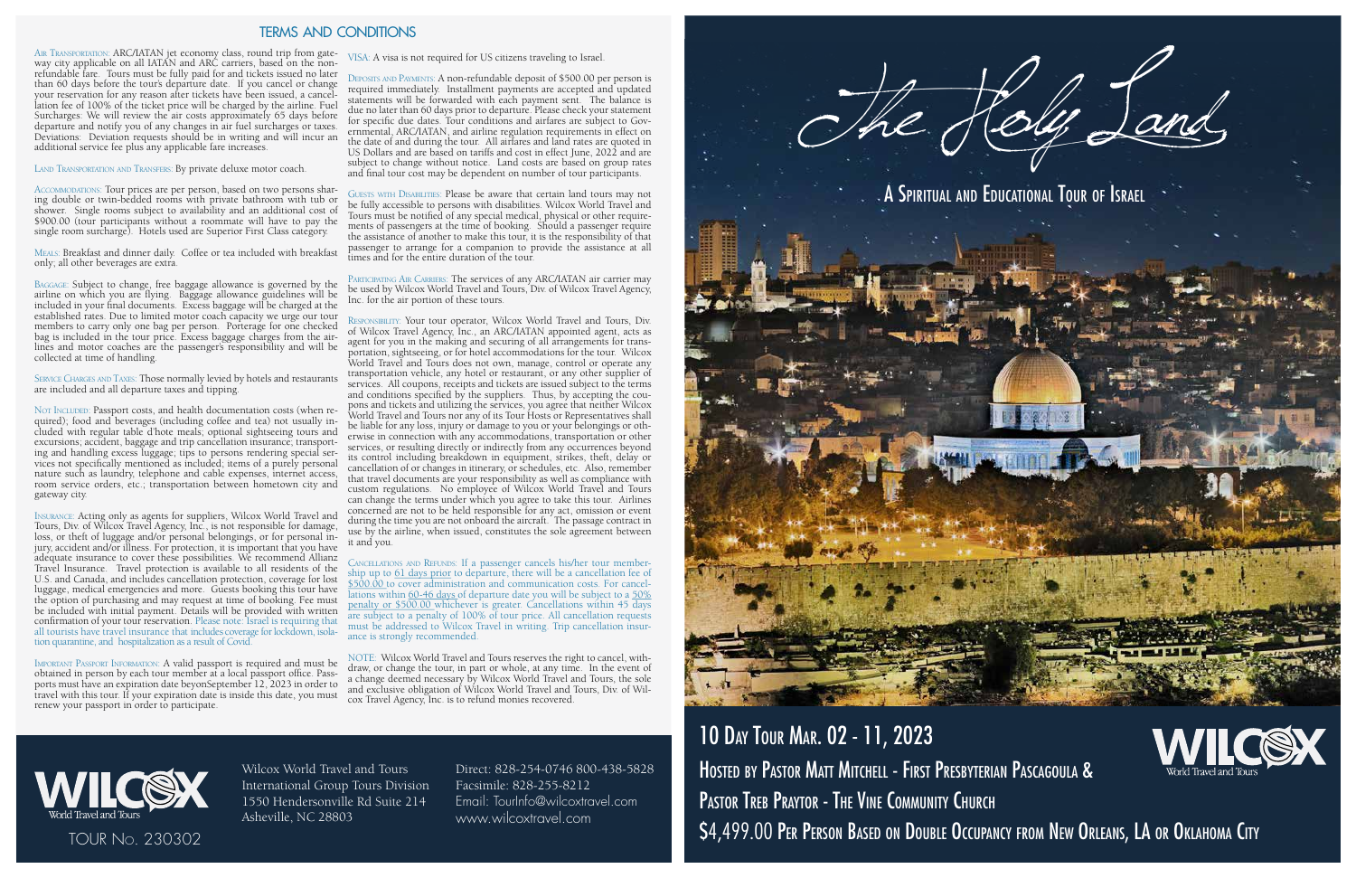Air Transportation: ARC/IATAN jet economy class, round trip from gateway city applicable on all IATAN and ARC carriers, based on the nonrefundable fare. Tours must be fully paid for and tickets issued no later than 60 days before the tour's departure date. If you cancel or change your reservation for any reason after tickets have been issued, a cancellation fee of 100% of the ticket price will be charged by the airline. Fuel Surcharges: We will review the air costs approximately 65 days before departure and notify you of any changes in air fuel surcharges or taxes. Deviations: Deviation requests should be in writing and will incur an additional service fee plus any applicable fare increases.

LAND TRANSPORTATION AND TRANSFERS: By private deluxe motor coach.

Accommodations: Tour prices are per person, based on two persons sharing double or twin-bedded rooms with private bathroom with tub or shower. Single rooms subject to availability and an additional cost of \$900.00 (tour participants without a roommate will have to pay the single room surcharge). Hotels used are Superior First Class category.

SERVICE CHARGES AND TAXES: Those normally levied by hotels and restaurants are included and all departure taxes and tipping.

Meals: Breakfast and dinner daily. Coffee or tea included with breakfast only; all other beverages are extra.

Not INCLUDED: Passport costs, and health documentation costs (when required); food and beverages (including coffee and tea) not usually included with regular table d'hote meals; optional sightseeing tours and excursions; accident, baggage and trip cancellation insurance; transporting and handling excess luggage; tips to persons rendering special services not specifically mentioned as included; items of a purely personal nature such as laundry, telephone and cable expenses, internet access, room service orders, etc.; transportation between hometown city and gateway city.

Baggage: Subject to change, free baggage allowance is governed by the airline on which you are flying. Baggage allowance guidelines will be included in your final documents. Excess baggage will be charged at the established rates. Due to limited motor coach capacity we urge our tour members to carry only one bag per person. Porterage for one checked bag is included in the tour price. Excess baggage charges from the airlines and motor coaches are the passenger's responsibility and will be collected at time of handling.

Guests with Disabilities: Please be aware that certain land tours may not be fully accessible to persons with disabilities. Wilcox World Travel and Tours must be notified of any special medical, physical or other requirements of passengers at the time of booking. Should a passenger require the assistance of another to make this tour, it is the responsibility of that passenger to arrange for a companion to provide the assistance at all times and for the entire duration of the tour.

Insurance: Acting only as agents for suppliers, Wilcox World Travel and Tours, Div. of Wilcox Travel Agency, Inc., is not responsible for damage, loss, or theft of luggage and/or personal belongings, or for personal injury, accident and/or illness. For protection, it is important that you have adequate insurance to cover these possibilities. We recommend Allianz Travel Insurance. Travel protection is available to all residents of the U.S. and Canada, and includes cancellation protection, coverage for lost luggage, medical emergencies and more. Guests booking this tour have the option of purchasing and may request at time of booking. Fee must be included with initial payment. Details will be provided with written confirmation of your tour reservation. Please note: Israel is requiring that all tourists have travel insurance that includes coverage for lockdown, isolation quarantine, and hospitalization as a result of Covid.

Important Passport Information: A valid passport is required and must be obtained in person by each tour member at a local passport office. Passports must have an expiration date beyonSeptember 12, 2023 in order to travel with this tour. If your expiration date is inside this date, you must renew your passport in order to participate.

VISA: A visa is not required for US citizens traveling to Israel.



10 Day Tour Mar. 02 - 11, 2023 HOSTED BY PASTOR MATT MITCHELL - FIRST PRESBYTERIAN PASCAGOULA & PASTOR TREB PRAYTOR - THE VINE COMMUNITY CHURCH \$4,499.00 PER PERSON BASED ON DOUBLE OCCUPANCY FROM NEW ORLEANS, LA OR OKLAHOMA CITY



Deposits and Payments: A non-refundable deposit of \$500.00 per person is required immediately. Installment payments are accepted and updated statements will be forwarded with each payment sent. The balance is due no later than 60 days prior to departure. Please check your statement for specific due dates. Tour conditions and airfares are subject to Governmental, ARC/IATAN, and airline regulation requirements in effect on the date of and during the tour. All airfares and land rates are quoted in US Dollars and are based on tariffs and cost in effect June, 2022 and are subject to change without notice. Land costs are based on group rates and final tour cost may be dependent on number of tour participants.

Participating Air Carriers: The services of any ARC/IATAN air carrier may be used by Wilcox World Travel and Tours, Div. of Wilcox Travel Agency, Inc. for the air portion of these tours.

Responsibility: Your tour operator, Wilcox World Travel and Tours, Div. of Wilcox Travel Agency, Inc., an ARC/IATAN appointed agent, acts as agent for you in the making and securing of all arrangements for transportation, sightseeing, or for hotel accommodations for the tour. Wilcox World Travel and Tours does not own, manage, control or operate any transportation vehicle, any hotel or restaurant, or any other supplier of services. All coupons, receipts and tickets are issued subject to the terms and conditions specified by the suppliers. Thus, by accepting the coupons and tickets and utilizing the services, you agree that neither Wilcox World Travel and Tours nor any of its Tour Hosts or Representatives shall be liable for any loss, injury or damage to you or your belongings or otherwise in connection with any accommodations, transportation or other services, or resulting directly or indirectly from any occurrences beyond its control including breakdown in equipment, strikes, theft, delay or cancellation of or changes in itinerary, or schedules, etc. Also, remember that travel documents are your responsibility as well as compliance with custom regulations. No employee of Wilcox World Travel and Tours can change the terms under which you agree to take this tour. Airlines concerned are not to be held responsible for any act, omission or event during the time you are not onboard the aircraft. The passage contract in usting the time year are integrated the aircraft. The passage contract in use by the airline, when issued, constitutes the sole agreement between it and you.

Cancellations and Refunds: If a passenger cancels his/her tour membership up to <u>61 days prior</u> to departure, there will be a cancellation fee of \$500.00 to cover administration and communication costs. For cancellations within 60-46 days of departure date you will be subject to a 50% penalty or \$500.00 whichever is greater. Cancellations within 45 days are subject to a penalty of 100% of tour price. All cancellation requests must be addressed to Wilcox Travel in writing. Trip cancellation insurance is strongly recommended.

NOTE: Wilcox World Travel and Tours reserves the right to cancel, withdraw, or change the tour, in part or whole, at any time. In the event of a change deemed necessary by Wilcox World Travel and Tours, the sole and exclusive obligation of Wilcox World Travel and Tours, Div. of Wilcox Travel Agency, Inc. is to refund monies recovered.

## terms and conditions

Wilcox World Travel and Tours International Group Tours Division 1550 Hendersonville Rd Suite 214 Asheville, NC 28803

Direct: 828-254-0746 800-438-5828 Facsimile: 828-255-8212 Email: TourInfo@wilcoxtravel.com www.wilcoxtravel.com